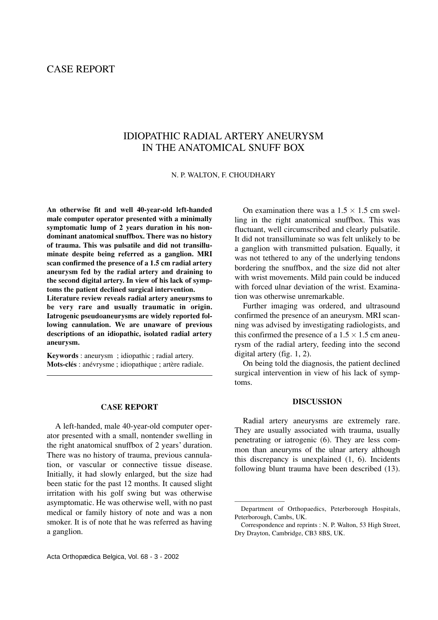# CASE REPORT

# IDIOPATHIC RADIAL ARTERY ANEURYSM IN THE ANATOMICAL SNUFF BOX

N. P. WALTON, F. CHOUDHARY

**An otherwise fit and well 40-year-old left-handed male computer operator presented with a minimally symptomatic lump of 2 years duration in his nondominant anatomical snuffbox. There was no history of trauma. This was pulsatile and did not transilluminate despite being referred as a ganglion. MRI scan confirmed the presence of a 1.5 cm radial artery aneurysm fed by the radial artery and draining to the second digital artery. In view of his lack of symptoms the patient declined surgical intervention.**

**Literature review reveals radial artery aneurysms to be very rare and usually traumatic in origin. Iatrogenic pseudoaneurysms are widely reported following cannulation. We are unaware of previous descriptions of an idiopathic, isolated radial artery aneurysm.**

**Keywords** : aneurysm ; idiopathic ; radial artery. **Mots-clés** : anévrysme ; idiopathique ; artère radiale.

# **CASE REPORT**

A left-handed, male 40-year-old computer operator presented with a small, nontender swelling in the right anatomical snuffbox of 2 years' duration. There was no history of trauma, previous cannulation, or vascular or connective tissue disease. Initially, it had slowly enlarged, but the size had been static for the past 12 months. It caused slight irritation with his golf swing but was otherwise asymptomatic. He was otherwise well, with no past medical or family history of note and was a non smoker. It is of note that he was referred as having a ganglion.

On examination there was a  $1.5 \times 1.5$  cm swelling in the right anatomical snuffbox. This was fluctuant, well circumscribed and clearly pulsatile. It did not transilluminate so was felt unlikely to be a ganglion with transmitted pulsation. Equally, it was not tethered to any of the underlying tendons bordering the snuffbox, and the size did not alter with wrist movements. Mild pain could be induced with forced ulnar deviation of the wrist. Examination was otherwise unremarkable.

Further imaging was ordered, and ultrasound confirmed the presence of an aneurysm. MRI scanning was advised by investigating radiologists, and this confirmed the presence of a  $1.5 \times 1.5$  cm aneurysm of the radial artery, feeding into the second digital artery (fig. 1, 2).

On being told the diagnosis, the patient declined surgical intervention in view of his lack of symptoms.

# **DISCUSSION**

Radial artery aneurysms are extremely rare. They are usually associated with trauma, usually penetrating or iatrogenic (6). They are less common than aneuryms of the ulnar artery although this discrepancy is unexplained (1, 6). Incidents following blunt trauma have been described (13).

————————

Department of Orthopaedics, Peterborough Hospitals, Peterborough, Cambs, UK.

Correspondence and reprints : N. P. Walton, 53 High Street, Dry Drayton, Cambridge, CB3 8BS, UK.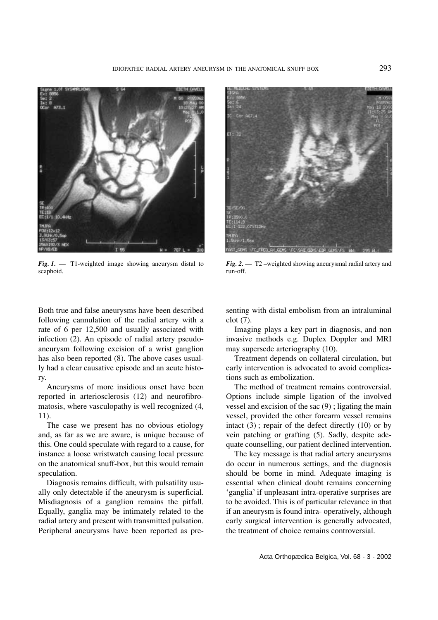

*Fig. 1.* — T1-weighted image showing aneurysm distal to scaphoid.



*Fig. 2.* — T2 –weighted showing aneurysmal radial artery and run-off.

Both true and false aneurysms have been described following cannulation of the radial artery with a rate of 6 per 12,500 and usually associated with infection (2). An episode of radial artery pseudoaneurysm following excision of a wrist ganglion has also been reported (8). The above cases usually had a clear causative episode and an acute history.

Aneurysms of more insidious onset have been reported in arteriosclerosis (12) and neurofibromatosis, where vasculopathy is well recognized (4, 11).

The case we present has no obvious etiology and, as far as we are aware, is unique because of this. One could speculate with regard to a cause, for instance a loose wristwatch causing local pressure on the anatomical snuff-box, but this would remain speculation.

Diagnosis remains difficult, with pulsatility usually only detectable if the aneurysm is superficial. Misdiagnosis of a ganglion remains the pitfall. Equally, ganglia may be intimately related to the radial artery and present with transmitted pulsation. Peripheral aneurysms have been reported as presenting with distal embolism from an intraluminal clot (7).

Imaging plays a key part in diagnosis, and non invasive methods e.g. Duplex Doppler and MRI may supersede arteriography (10).

Treatment depends on collateral circulation, but early intervention is advocated to avoid complications such as embolization.

The method of treatment remains controversial. Options include simple ligation of the involved vessel and excision of the sac (9) ; ligating the main vessel, provided the other forearm vessel remains intact  $(3)$ ; repair of the defect directly  $(10)$  or by vein patching or grafting (5). Sadly, despite adequate counselling, our patient declined intervention.

The key message is that radial artery aneurysms do occur in numerous settings, and the diagnosis should be borne in mind. Adequate imaging is essential when clinical doubt remains concerning 'ganglia' if unpleasant intra-operative surprises are to be avoided. This is of particular relevance in that if an aneurysm is found intra- operatively, although early surgical intervention is generally advocated, the treatment of choice remains controversial.